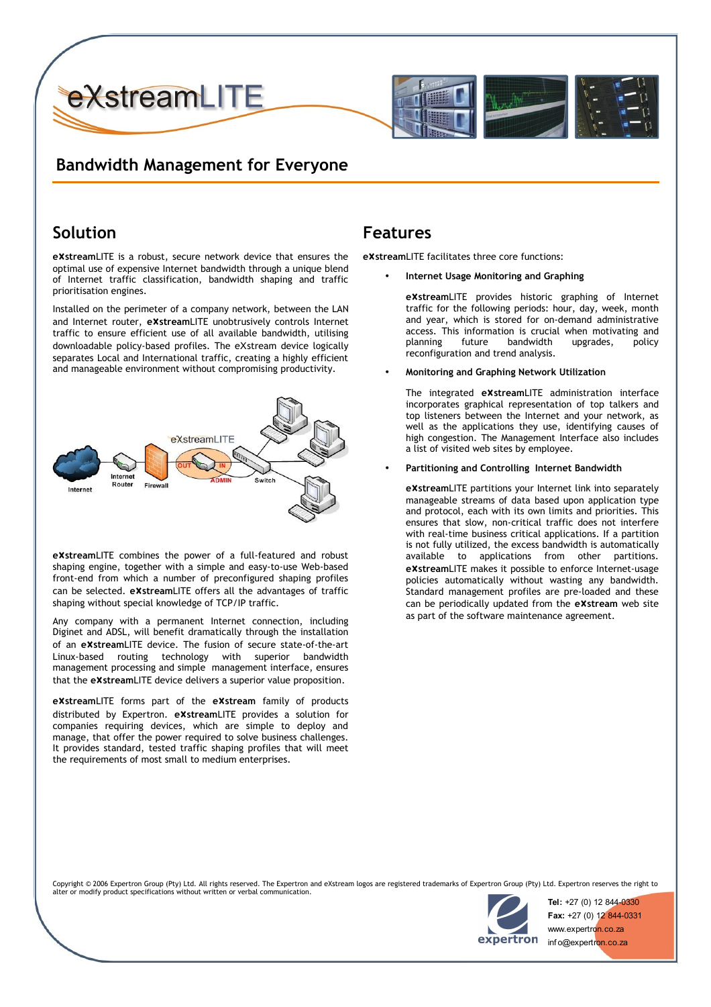

## **Bandwidth Management for Everyone**

## **Solution**

**e**X**stream**LITE is a robust, secure network device that ensures the optimal use of expensive Internet bandwidth through a unique blend of Internet traffic classification, bandwidth shaping and traffic prioritisation engines.

Installed on the perimeter of a company network, between the LAN and Internet router, **e**X**stream**LITE unobtrusively controls Internet traffic to ensure efficient use of all available bandwidth, utilising downloadable policy-based profiles. The eXstream device logically separates Local and International traffic, creating a highly efficient and manageable environment without compromising productivity.



**e**X**stream**LITE combines the power of a full-featured and robust shaping engine, together with a simple and easy-to-use Web-based front-end from which a number of preconfigured shaping profiles can be selected. **e**X**stream**LITE offers all the advantages of traffic shaping without special knowledge of TCP/IP traffic.

Any company with a permanent Internet connection, including Diginet and ADSL, will benefit dramatically through the installation of an **e**X**stream**LITE device. The fusion of secure state-of-the-art Linux-based routing technology with superior bandwidth management processing and simple management interface, ensures that the **e**X**stream**LITE device delivers a superior value proposition.

**e**X**stream**LITE forms part of the **e**X**stream** family of products distributed by Expertron. **e**X**stream**LITE provides a solution for companies requiring devices, which are simple to deploy and manage, that offer the power required to solve business challenges. It provides standard, tested traffic shaping profiles that will meet the requirements of most small to medium enterprises.

### **Features**

**e**X**stream**LITE facilitates three core functions:

• **Internet Usage Monitoring and Graphing**

**e**X**stream**LITE provides historic graphing of Internet traffic for the following periods: hour, day, week, month and year, which is stored for on-demand administrative access. This information is crucial when motivating and planning future bandwidth upgrades, policy reconfiguration and trend analysis.

• **Monitoring and Graphing Network Utilization**

The integrated **e**X**stream**LITE administration interface incorporates graphical representation of top talkers and top listeners between the Internet and your network, as well as the applications they use, identifying causes of high congestion. The Management Interface also includes a list of visited web sites by employee.

#### • **Partitioning and Controlling Internet Bandwidth**

**e**X**stream**LITE partitions your Internet link into separately manageable streams of data based upon application type and protocol, each with its own limits and priorities. This ensures that slow, non-critical traffic does not interfere with real-time business critical applications. If a partition is not fully utilized, the excess bandwidth is automatically available to applications from other partitions. **e**X**stream**LITE makes it possible to enforce Internet-usage policies automatically without wasting any bandwidth. Standard management profiles are pre-loaded and these can be periodically updated from the **e**X**stream** web site as part of the software maintenance agreement.

Copyright © 2006 Expertron Group (Pty) Ltd. All rights reserved. The Expertron and eXstream logos are registered trademarks of Expertron Group (Pty) Ltd. Expertron reserves the right to alter or modify product specifications without written or verbal communication.



**Tel:** +27 (0) 12 844-0330 **Fax:** +27 (0) 12 844-0331 www.expertron.co.za inf o@expertron.co.za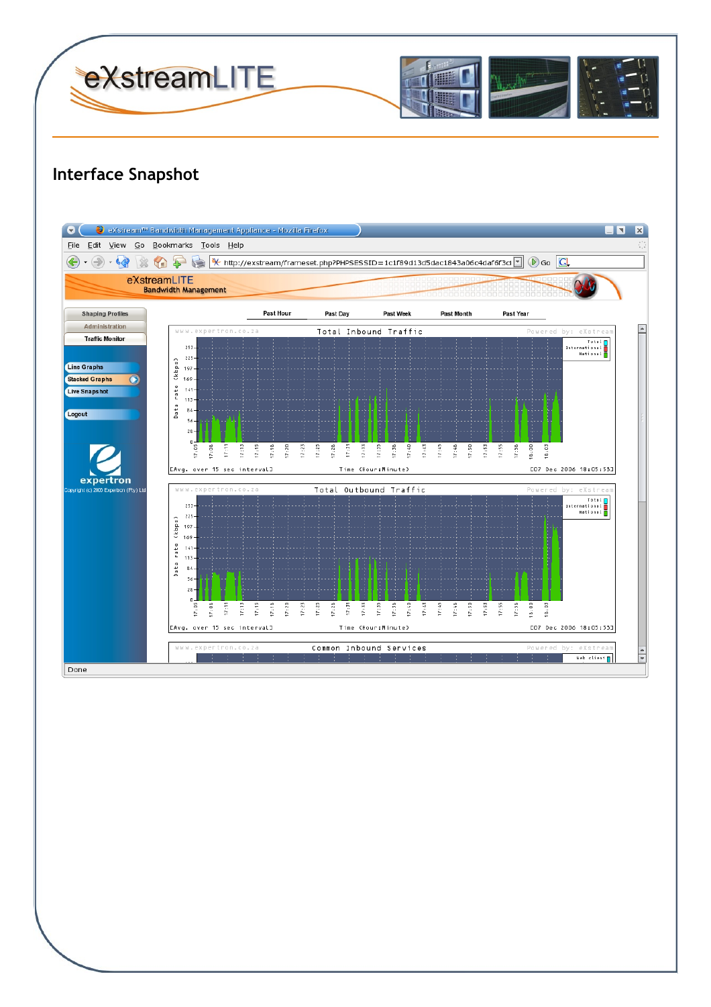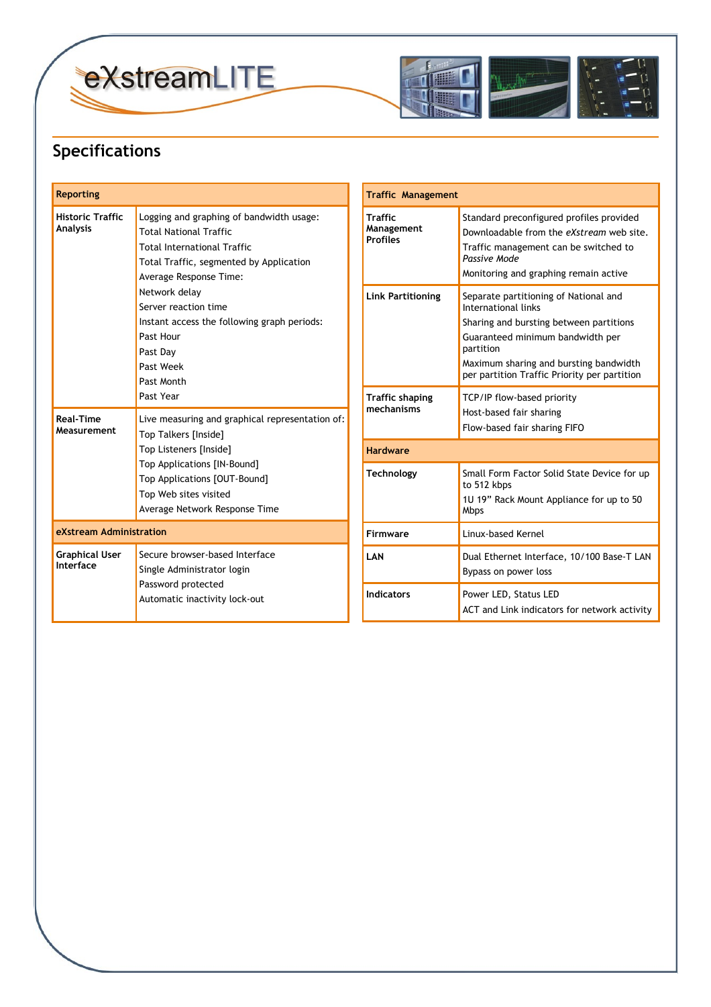



## **Specifications**

| <b>Reporting</b>                           |                                                                                                                                                                                                                                                                                                                                  | <b>Traffic Management</b>                               |                                                                                                                                                                                                                                                    |
|--------------------------------------------|----------------------------------------------------------------------------------------------------------------------------------------------------------------------------------------------------------------------------------------------------------------------------------------------------------------------------------|---------------------------------------------------------|----------------------------------------------------------------------------------------------------------------------------------------------------------------------------------------------------------------------------------------------------|
| <b>Historic Traffic</b><br><b>Analysis</b> | Logging and graphing of bandwidth usage:<br><b>Total National Traffic</b><br><b>Total International Traffic</b><br>Total Traffic, segmented by Application<br>Average Response Time:<br>Network delay<br>Server reaction time<br>Instant access the following graph periods:<br>Past Hour<br>Past Day<br>Past Week<br>Past Month | <b>Traffic</b><br>Management<br><b>Profiles</b>         | Standard preconfigured profiles provided<br>Downloadable from the eXstream web site.<br>Traffic management can be switched to<br>Passive Mode<br>Monitoring and graphing remain active                                                             |
|                                            |                                                                                                                                                                                                                                                                                                                                  | <b>Link Partitioning</b>                                | Separate partitioning of National and<br>International links<br>Sharing and bursting between partitions<br>Guaranteed minimum bandwidth per<br>partition<br>Maximum sharing and bursting bandwidth<br>per partition Traffic Priority per partition |
| <b>Real-Time</b><br>Measurement            | Past Year<br>Live measuring and graphical representation of:<br>Top Talkers [Inside]<br>Top Listeners [Inside]<br>Top Applications [IN-Bound]<br>Top Applications [OUT-Bound]<br>Top Web sites visited<br>Average Network Response Time                                                                                          | <b>Traffic shaping</b><br>mechanisms<br><b>Hardware</b> | TCP/IP flow-based priority<br>Host-based fair sharing<br>Flow-based fair sharing FIFO                                                                                                                                                              |
|                                            |                                                                                                                                                                                                                                                                                                                                  | <b>Technology</b>                                       | Small Form Factor Solid State Device for up<br>to 512 kbps<br>1U 19" Rack Mount Appliance for up to 50<br><b>Mbps</b>                                                                                                                              |
| eXstream Administration                    |                                                                                                                                                                                                                                                                                                                                  | Firmware                                                | Linux-based Kernel                                                                                                                                                                                                                                 |
| <b>Graphical User</b><br>Interface         | Secure browser-based Interface<br>Single Administrator login<br>Password protected<br>Automatic inactivity lock-out                                                                                                                                                                                                              | LAN                                                     | Dual Ethernet Interface, 10/100 Base-T LAN<br>Bypass on power loss                                                                                                                                                                                 |
|                                            |                                                                                                                                                                                                                                                                                                                                  | <b>Indicators</b>                                       | Power LED, Status LED<br>ACT and Link indicators for network activity                                                                                                                                                                              |